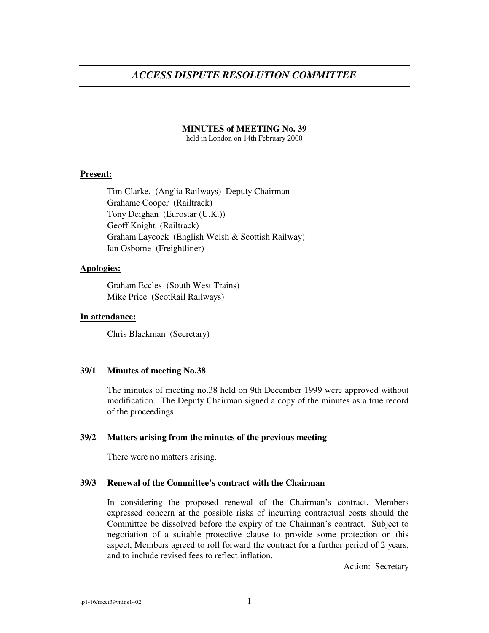#### **MINUTES of MEETING No. 39**

held in London on 14th February 2000

# **Present:**

Tim Clarke, (Anglia Railways) Deputy Chairman Grahame Cooper (Railtrack) Tony Deighan (Eurostar (U.K.)) Geoff Knight (Railtrack) Graham Laycock (English Welsh & Scottish Railway) Ian Osborne (Freightliner)

# **Apologies:**

Graham Eccles (South West Trains) Mike Price (ScotRail Railways)

## **In attendance:**

Chris Blackman (Secretary)

### **39/1 Minutes of meeting No.38**

The minutes of meeting no.38 held on 9th December 1999 were approved without modification. The Deputy Chairman signed a copy of the minutes as a true record of the proceedings.

### **39/2 Matters arising from the minutes of the previous meeting**

There were no matters arising.

### **39/3 Renewal of the Committee's contract with the Chairman**

In considering the proposed renewal of the Chairman's contract, Members expressed concern at the possible risks of incurring contractual costs should the Committee be dissolved before the expiry of the Chairman's contract. Subject to negotiation of a suitable protective clause to provide some protection on this aspect, Members agreed to roll forward the contract for a further period of 2 years, and to include revised fees to reflect inflation.

Action: Secretary